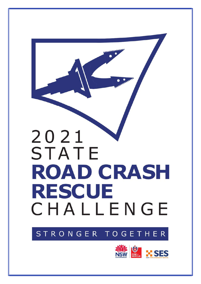

## STRONGER TOGETHER

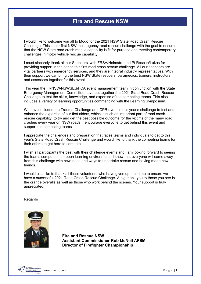### Fire and Rescue NSW

I would like to welcome you all to Mogo for the 2021 NSW State Road Crash Rescue Challenge. This is our first NSW multi-agency road rescue challenge with the goal to ensure that the NSW State road crash rescue capability is fit for purpose and meeting contemporary challenges in motor vehicle rescue capability.

I must sincerely thank all our Sponsors, with FRSA/Holmatro and Pt Rescue/Lukas for providing support in the pits to this first road crash rescue challenge. All our sponsors are vital partners with emergency services, and they are integral industry representatives. With their support we can bring the best NSW State rescuers, paramedics, trainers, instructors, and assessors together for this event.

This year the FRNSW/NSWSES/FCA event management team in conjunction with the State Emergency Management Committee have put together the 2021 State Road Crash Rescue Challenge to test the skills, knowledge, and expertise of the competing teams. This also includes a variety of learning opportunities commencing with the Learning Symposium.

We have included the Trauma Challenge and CPR event in this year's challenge to test and enhance the expertise of our first aiders, which is such an important part of road crash rescue capability, to try and get the best possible outcome for the victims of the many road crashes every year on NSW roads. I encourage everyone to get behind this event and support the competing teams.

I appreciate the challenges and preparation that faces teams and individuals to get to this year's State Road Crash Rescue Challenge and would like to thank the competing teams for their efforts to get here to compete.

I wish all participants the best with their challenge events and I am looking forward to seeing the teams compete in an open learning environment. I know that everyone will come away from this challenge with new ideas and ways to undertake rescue and having made new friends.

I would also like to thank all those volunteers who have given up their time to ensure we have a successful 2021 Road Crash Rescue Challenge. A big thank you to those you see in the orange overalls as well as those who work behind the scenes. Your support is truly appreciated.

**Regards** 



Fire and Rescue NSW Assistant Commissioner Rob McNeil AFSM Director of Firefighter Championship

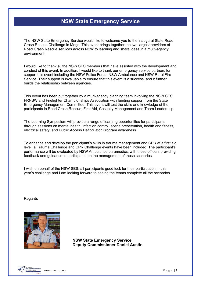## NSW State Emergency Service

The NSW State Emergency Service would like to welcome you to the inaugural State Road Crash Rescue Challenge in Mogo. This event brings together the two largest providers of Road Crash Rescue services across NSW to learning and share ideas in a multi-agency environment.

I would like to thank all the NSW SES members that have assisted with the development and conduct of this event. In addition, I would like to thank our emergency service partners for support this event including the NSW Police Force, NSW Ambulance and NSW Rural Fire Service. Their support is invaluable to ensure that this event is a success, and it further builds the relationship between agencies.

This event has been put together by a multi-agency planning team involving the NSW SES, FRNSW and Firefighter Championships Association with funding support from the State Emergency Management Committee. This event will test the skills and knowledge of the participants in Road Crash Rescue, First Aid, Casualty Management and Team Leadership.

The Learning Symposium will provide a range of learning opportunities for participants through sessions on mental health, infection control, scene preservation, health and fitness, electrical safety, and Public Access Defibrillator Program awareness.

To enhance and develop the participant's skills in trauma management and CPR at a first aid level, a Trauma Challenge and CPR Challenge events have been included. The participant's performance will be evaluated by NSW Ambulance paramedics, with these officers providing feedback and guidance to participants on the management of these scenarios.

I wish on behalf of the NSW SES, all participants good luck for their participation in this year's challenge and I am looking forward to seeing the teams complete all the scenarios

**Regards** 



NSW State Emergency Service Deputy Commissioner Daniel Austin



www.nswrcrc.com  $P \text{ a } g \text{ e } | \textbf{3}$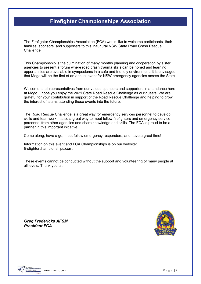## Firefighter Championships Association

The Firefighter Championships Association (FCA) would like to welcome participants, their families, sponsors, and supporters to this inaugural NSW State Road Crash Rescue Challenge.

This Championship is the culmination of many months planning and cooperation by sister agencies to present a forum where road crash trauma skills can be honed and learning opportunities are available in symposiums in a safe and friendly environment. It is envisaged that Mogo will be the first of an annual event for NSW emergency agencies across the State.

Welcome to all representatives from our valued sponsors and supporters in attendance here at Mogo. I hope you enjoy the 2021 State Road Rescue Challenge as our guests. We are grateful for your contribution in support of the Road Rescue Challenge and helping to grow the interest of teams attending these events into the future.

The Road Rescue Challenge is a great way for emergency services personnel to develop skills and teamwork. It also a great way to meet fellow firefighters and emergency service personnel from other agencies and share knowledge and skills. The FCA is proud to be a partner in this important initiative.

Come along, have a go, meet fellow emergency responders, and have a great time!

Information on this event and FCA Championships is on our website: firefighterchampionships.com.

These events cannot be conducted without the support and volunteering of many people at all levels. Thank you all.

Greg Fredericks AFSM President FCA



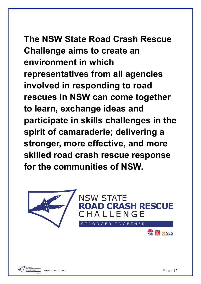## The NSW State Road Crash Rescue Challenge aims to create an environment in which representatives from all agencies involved in responding to road rescues in NSW can come together to learn, exchange ideas and participate in skills challenges in the spirit of camaraderie; delivering a stronger, more effective, and more skilled road crash rescue response for the communities of NSW.







NSW HELL SES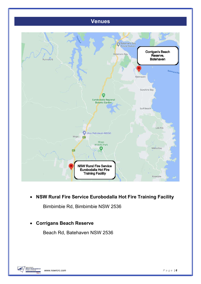## Venues



NSW Rural Fire Service Eurobodalla Hot Fire Training Facility

Bimbimbie Rd, Bimbimbie NSW 2536

Corrigans Beach Reserve

Beach Rd, Batehaven NSW 2536

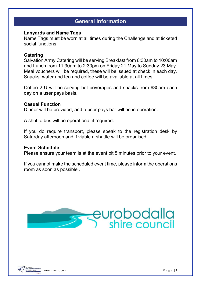## General Information

#### Lanyards and Name Tags

Name Tags must be worn at all times during the Challenge and at ticketed social functions.

#### **Catering**

Salvation Army Catering will be serving Breakfast from 6:30am to 10:00am and Lunch from 11:30am to 2:30pm on Friday 21 May to Sunday 23 May. Meal vouchers will be required, these will be issued at check in each day. Snacks, water and tea and coffee will be available at all times.

Coffee 2 U will be serving hot beverages and snacks from 630am each day on a user pays basis.

#### Casual Function

Dinner will be provided, and a user pays bar will be in operation.

A shuttle bus will be operational if required.

If you do require transport, please speak to the registration desk by Saturday afternoon and if viable a shuttle will be organised.

#### Event Schedule

Please ensure your team is at the event pit 5 minutes prior to your event.

If you cannot make the scheduled event time, please inform the operations room as soon as possible .



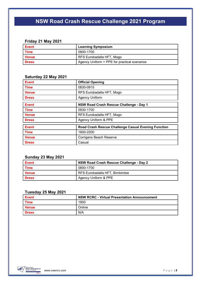## NSW Road Crash Rescue Challenge 2021 Program

#### Friday 21 May 2021

| <b>Event</b> | <b>Learning Symposium</b>                    |  |  |
|--------------|----------------------------------------------|--|--|
| Time         | 0800-1700                                    |  |  |
| <b>Venue</b> | RFS Eurobadalla HFT, Mogo                    |  |  |
| <b>Dress</b> | Agency Uniform + PPE for practical scenarios |  |  |

#### Saturday 22 May 2021

| <b>Event</b> | <b>Official Opening</b>                             |  |  |  |  |
|--------------|-----------------------------------------------------|--|--|--|--|
| <b>Time</b>  | 0830-0915                                           |  |  |  |  |
| <b>Venue</b> | RFS Eurobadalla HFT, Mogo                           |  |  |  |  |
| <b>Dress</b> | <b>Agency Uniform</b>                               |  |  |  |  |
| <b>Event</b> | NSW Road Crash Rescue Challenge - Day 1             |  |  |  |  |
| <b>Time</b>  | 0930-1700                                           |  |  |  |  |
| <b>Venue</b> | RFS Eurobadalla HFT, Mogo                           |  |  |  |  |
| <b>Dress</b> | Agency Uniform & PPE                                |  |  |  |  |
| <b>Event</b> | Road Crash Rescue Challenge Casual Evening Function |  |  |  |  |
| <b>Time</b>  | 1800-2200                                           |  |  |  |  |
| <b>Venue</b> | <b>Corrigans Beach Reserve</b>                      |  |  |  |  |
| <b>Dress</b> | Casual                                              |  |  |  |  |

#### Sunday 23 May 2021

| <b>Event</b> | NSW Road Crash Rescue Challenge - Day 2 |  |  |
|--------------|-----------------------------------------|--|--|
| <b>Time</b>  | 0800-1700                               |  |  |
| <b>Venue</b> | RFS Eurobadalla HFT, Bimbimbie          |  |  |
| <b>Dress</b> | Agency Uniform & PPE                    |  |  |

#### Tuesday 25 May 2021

| <b>Event</b> | <b>NSW RCRC - Virtual Presentation Announcement</b> |  |  |  |
|--------------|-----------------------------------------------------|--|--|--|
| ∣ Time       | 1900                                                |  |  |  |
| Venue        | Online                                              |  |  |  |
| <b>Dress</b> | N/A                                                 |  |  |  |

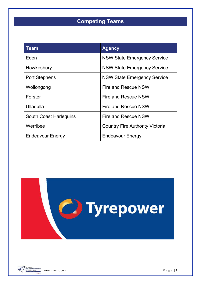## Competing Teams

| <b>Team</b>                   | <b>Agency</b>                          |
|-------------------------------|----------------------------------------|
| Eden                          | <b>NSW State Emergency Service</b>     |
| Hawkesbury                    | <b>NSW State Emergency Service</b>     |
| <b>Port Stephens</b>          | <b>NSW State Emergency Service</b>     |
| Wollongong                    | Fire and Rescue NSW                    |
| Forster                       | Fire and Rescue NSW                    |
| Ulladulla                     | Fire and Rescue NSW                    |
| <b>South Coast Harlequins</b> | Fire and Rescue NSW                    |
| Werribee                      | <b>Country Fire Authority Victoria</b> |
| <b>Endeavour Energy</b>       | <b>Endeavour Energy</b>                |





NSW STATE<br>ROAD CRASH RESCUE<br>CHALLENGE WWW.NSWICIC.COM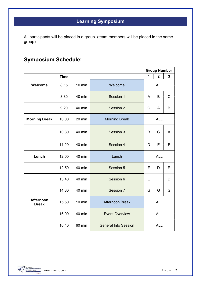All participants will be placed in a group. (team members will be placed in the same group)

## Symposium Schedule:

|                                  |             |                  |                             |              | <b>Group Number</b> |              |  |
|----------------------------------|-------------|------------------|-----------------------------|--------------|---------------------|--------------|--|
|                                  | <b>Time</b> |                  |                             | $\mathbf{1}$ | $\overline{2}$      | 3            |  |
| Welcome                          | 8:15        | $10 \text{ min}$ | Welcome                     |              | <b>ALL</b>          |              |  |
|                                  | 8:30        | 40 min           | Session 1                   | A            | B                   | $\mathsf{C}$ |  |
|                                  | 9:20        | 40 min           | Session 2                   | $\mathsf{C}$ | A                   | B            |  |
| <b>Morning Break</b>             | 10:00       | 20 min           | <b>Morning Break</b>        |              | <b>ALL</b>          |              |  |
|                                  | 10:30       | 40 min           | Session 3                   | B            | $\mathsf{C}$        | A            |  |
|                                  | 11:20       | 40 min           | Session 4                   | D            | E                   | $\mathsf{F}$ |  |
| Lunch                            | 12:00       | 40 min           | Lunch                       |              | <b>ALL</b>          |              |  |
|                                  | 12:50       | 40 min           | Session 5                   | F            | D                   | Е            |  |
|                                  | 13:40       | 40 min           | Session 6                   | E            | F                   | D            |  |
|                                  | 14:30       | 40 min           | Session 7                   | G            | G                   | G            |  |
| <b>Afternoon</b><br><b>Break</b> | 15:50       | $10$ min         | <b>Afternoon Break</b>      |              | <b>ALL</b>          |              |  |
|                                  | 16:00       | 40 min           | <b>Event Overview</b>       |              | <b>ALL</b>          |              |  |
|                                  | 16:40       | 60 min           | <b>General Info Session</b> |              | <b>ALL</b>          |              |  |

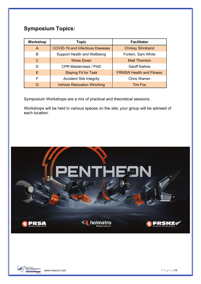## Symposium Topics:

| Workshop     | <b>Topic</b>                            | <b>Facilitator</b>              |
|--------------|-----------------------------------------|---------------------------------|
| A            | <b>COVID-19 and Infectious Diseases</b> | <b>Chrissy Strickland</b>       |
| В            | <b>Support Health and Wellbeing</b>     | Fortem, Sam White               |
| $\mathsf{C}$ | <b>Wires Down</b>                       | <b>Matt Thornton</b>            |
| D            | <b>CPR Masterclass / PAD</b>            | <b>Geoff Kiehne</b>             |
| Е            | <b>Staying Fit for Task</b>             | <b>FRNSW Health and Fitness</b> |
| F            | <b>Accident Site Integrity</b>          | <b>Chris Warren</b>             |
| G            | <b>Vehicle Relocation Winching</b>      | <b>Tim Fox</b>                  |

Symposium Workshops are a mix of practical and theoretical sessions.

Workshops will be held in various spaces on the site; your group will be advised of each location.





www.nswrcrc.com  $P a g e$  | 11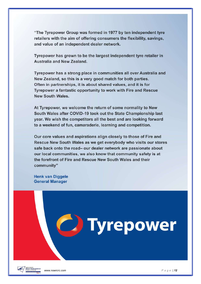"The Tyrepower Group was formed in 1977 by ten independent tyre retailers with the aim of offering consumers the flexibility, savings, and value of an independent dealer network.

Tyrepower has grown to be the largest independent tyre retailer in Australia and New Zealand.

Tyrepower has a strong place in communities all over Australia and New Zealand, so this is a very good match for both parties. Often in partnerships, it is about shared values, and it is for Tyrepower a fantastic opportunity to work with Fire and Rescue New South Wales.

At Tyrepower, we welcome the return of some normality to New South Wales after COVID-19 took out the State Championship last year. We wish the competitors all the best and are looking forward to a weekend of fun, camaraderie, learning and competition.

Our core values and aspirations align closely to those of Fire and Rescue New South Wales as we get everybody who visits our stores safe back onto the road- our dealer network are passionate about our local communities, we also know that community safety is at the forefront of Fire and Rescue New South Wales and their community"

**Henk van Diggele General Manager** 

# **CJ Tyrepower**



www.nswrcrc.com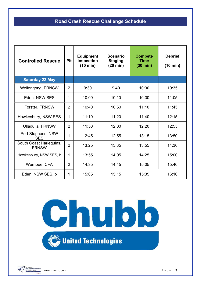## Road Crash Rescue Challenge Schedule

| <b>Controlled Rescue</b>                | Pit            | <b>Equipment</b><br>Inspection<br>(10 min) | <b>Scenario</b><br><b>Staging</b><br>$(20 \text{ min})$ | <b>Compete</b><br><b>Time</b><br>$(30 \text{ min})$ | <b>Debrief</b><br>(10 min) |
|-----------------------------------------|----------------|--------------------------------------------|---------------------------------------------------------|-----------------------------------------------------|----------------------------|
| <b>Saturday 22 May</b>                  |                |                                            |                                                         |                                                     |                            |
| Wollongong, FRNSW                       | 2              | 9:30                                       | 9:40                                                    | 10:00                                               | 10:35                      |
| Eden, NSW SES                           | 1              | 10:00                                      | 10:10                                                   | 10:30                                               | 11:05                      |
| Forster, FRNSW                          | 2              | 10:40                                      | 10:50                                                   | 11:10                                               | 11:45                      |
| Hawkesbury, NSW SES                     | 1              | 11:10                                      | 11:20                                                   | 11:40                                               | 12:15                      |
| <b>Ulladulla, FRNSW</b>                 | 2              | 11:50                                      | 12:00                                                   | 12:20                                               | 12:55                      |
| Port Stephens, NSW<br><b>SES</b>        | 1              | 12:45                                      | 12:55                                                   | 13:15                                               | 13:50                      |
| South Coast Harlequins,<br><b>FRNSW</b> | $\overline{2}$ | 13:25                                      | 13:35                                                   | 13:55                                               | 14:30                      |
| Hawkesbury, NSW SES, b                  | 1              | 13:55                                      | 14:05                                                   | 14:25                                               | 15:00                      |
| Werribee, CFA                           | $\overline{2}$ | 14:35                                      | 14:45                                                   | 15:05                                               | 15:40                      |
| Eden, NSW SES, b                        | 1              | 15:05                                      | 15:15                                                   | 15:35                                               | 16:10                      |





NSW STATE<br>ROAD CRASH RESCUE<br>HARLING COMPANY AND MUNICAL COMPANY OF THE COMPANY OF THE COMPANY OF THE COMPANY OF THE COMPANY OF THE COMPANY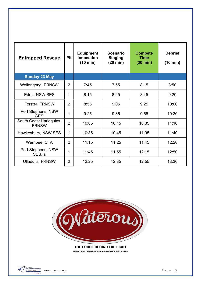| <b>Entrapped Rescue</b>                 | <b>Pit</b>     | <b>Equipment</b><br><b>Inspection</b><br>(10 min) | <b>Scenario</b><br><b>Staging</b><br>$(20 \text{ min})$ | <b>Compete</b><br>Time<br>$(30 \text{ min})$ | <b>Debrief</b><br>(10 min) |
|-----------------------------------------|----------------|---------------------------------------------------|---------------------------------------------------------|----------------------------------------------|----------------------------|
| <b>Sunday 23 May</b>                    |                |                                                   |                                                         |                                              |                            |
| Wollongong, FRNSW                       | $\overline{2}$ | 7:45                                              | 7:55                                                    | 8:15                                         | 8:50                       |
| Eden, NSW SES                           | 1              | 8:15                                              | 8:25                                                    | 8:45                                         | 9:20                       |
| Forster, FRNSW                          | $\overline{2}$ | 8:55                                              | 9:05                                                    | 9:25                                         | 10:00                      |
| Port Stephens, NSW<br><b>SES</b>        | 1              | 9:25                                              | 9:35                                                    | 9:55                                         | 10:30                      |
| South Coast Harlequins,<br><b>FRNSW</b> | $\overline{2}$ | 10:05                                             | 10:15                                                   | 10:35                                        | 11:10                      |
| Hawkesbury, NSW SES                     | 1              | 10:35                                             | 10:45                                                   | 11:05                                        | 11:40                      |
| Werribee, CFA                           | $\overline{2}$ | 11:15                                             | 11:25                                                   | 11:45                                        | 12:20                      |
| Port Stephens, NSW<br>SES, a            | 1              | 11:45                                             | 11:55                                                   | 12:15                                        | 12:50                      |
| <b>Ulladulla, FRNSW</b>                 | $\overline{2}$ | 12:25                                             | 12:35                                                   | 12:55                                        | 13:30                      |



THE FORCE BEHIND THE FIGHT THE GLOBAL LEADER IN FIRE SUPPRESSION SINCE 1886



ww.state<br>ROAD CRASH RESCUE<br>CRAND CRASH RESCUE WWW.NSWICTC.COM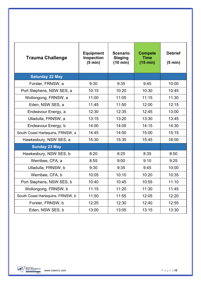| <b>Trauma Challenge</b>          | <b>Equipment</b><br>Inspection<br>(5 min) | <b>Scenario</b><br><b>Staging</b><br>(10 min) | <b>Compete</b><br><b>Time</b><br>(15 min) | <b>Debrief</b><br>$(5 \text{ min})$ |
|----------------------------------|-------------------------------------------|-----------------------------------------------|-------------------------------------------|-------------------------------------|
| <b>Saturday 22 May</b>           |                                           |                                               |                                           |                                     |
| Forster, FRNSW, a                | 9:30                                      | 9:35                                          | 9:45                                      | 10:00                               |
| Port Stephens, NSW SES, a        | 10:15                                     | 10:20                                         | 10:30                                     | 10:45                               |
| Wollongong, FRNSW, a             | 11:00                                     | 11:05                                         | 11:15                                     | 11:30                               |
| Eden, NSW SES, a                 | 11:45                                     | 11:50                                         | 12:00                                     | 12:15                               |
| Endeavour Energy, a              | 12:30                                     | 12:35                                         | 12:45                                     | 13:00                               |
| Ulladulla, FRNSW, a              | 13:15                                     | 13:20                                         | 13:30                                     | 13:45                               |
| Endeavour Energy, b              | 14:00                                     | 14:05                                         | 14:15                                     | 14:30                               |
| South Coast Harlequins, FRNSW, a | 14:45                                     | 14:50                                         | 15:00                                     | 15:15                               |
| Hawkesbury, NSW SES, a           | 15:30                                     | 15:35                                         | 15:45                                     | 16:00                               |
| <b>Sunday 23 May</b>             |                                           |                                               |                                           |                                     |
| Hawkesbury, NSW SES, b           | 8:20                                      | 8:25                                          | 8:35                                      | 8:50                                |
| Werribee, CFA, a                 | 8:55                                      | 9:00                                          | 9:10                                      | 9:25                                |
| Ulladulla, FRNSW, b              | 9:30                                      | 9:35                                          | 9:45                                      | 10:00                               |
| Werribee, CFA, b                 | 10:05                                     | 10:10                                         | 10:20                                     | 10:35                               |
| Port Stephens, NSW SES, b        | 10:40                                     | 10:45                                         | 10:55                                     | 11:10                               |
| Wollongong, FRNSW, b             | 11:15                                     | 11:20                                         | 11:30                                     | 11:45                               |
| South Coast Harlequins, FRNSW, b | 11:50                                     | 11:55                                         | 12:05                                     | 12:20                               |
| Forster, FRNSW, b                | 12:25                                     | 12:30                                         | 12:40                                     | 12:55                               |
| Eden, NSW SES, b                 | 13:00                                     | 13:05                                         | 13:15                                     | 13:30                               |

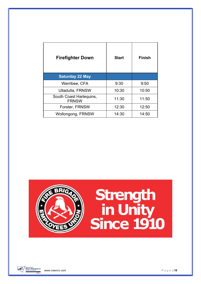| <b>Firefighter Down</b>                 | <b>Start</b> | <b>Finish</b> |
|-----------------------------------------|--------------|---------------|
| <b>Saturday 22 May</b>                  |              |               |
| Werribee, CFA                           | 9:30         | 9:50          |
| <b>Ulladulla, FRNSW</b>                 | 10:30        | 10:50         |
| South Coast Harlequins,<br><b>FRNSW</b> | 11:30        | 11:50         |
| Forster, FRNSW                          | 12:30        | 12:50         |
| Wollongong, FRNSW                       | 14:30        | 14:50         |





NSW STATE<br>ROAD CRASH RESCUE<br>CHALLENGE WWW.NSWICIC.COM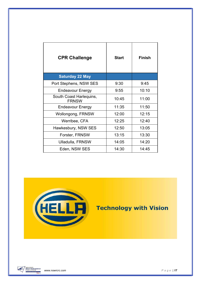| <b>CPR Challenge</b>                    | <b>Start</b> | <b>Finish</b> |
|-----------------------------------------|--------------|---------------|
| <b>Saturday 22 May</b>                  |              |               |
| Port Stephens, NSW SES                  | 9:30         | 9:45          |
| Endeavour Energy                        | 9:55         | 10:10         |
| South Coast Harlequins,<br><b>FRNSW</b> | 10:45        | 11:00         |
| <b>Endeavour Energy</b>                 | 11:35        | 11:50         |
| <b>Wollongong, FRNSW</b>                | 12:00        | 12:15         |
| Werribee, CFA                           | 12:25        | 12:40         |
| Hawkesbury, NSW SES                     | 12:50        | 13:05         |
| Forster, FRNSW                          | 13:15        | 13:30         |
| <b>Ulladulla, FRNSW</b>                 | 14:05        | 14:20         |
| Eden, NSW SES                           | 14:30        | 14:45         |





ww.state<br>ROAD CRASH RESCUE<br>CRAND CRASH RESCUE WWW.NSWICTC.COM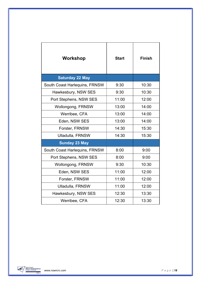| Workshop                      | <b>Start</b> | <b>Finish</b> |
|-------------------------------|--------------|---------------|
| <b>Saturday 22 May</b>        |              |               |
| South Coast Harlequins, FRNSW | 9:30         | 10:30         |
| Hawkesbury, NSW SES           | 9:30         | 10:30         |
| Port Stephens, NSW SES        | 11:00        | 12:00         |
| Wollongong, FRNSW             | 13:00        | 14:00         |
| Werribee, CFA                 | 13:00        | 14:00         |
| Eden, NSW SES                 | 13:00        | 14:00         |
| Forster, FRNSW                | 14:30        | 15:30         |
| <b>Ulladulla, FRNSW</b>       | 14:30        | 15:30         |
| <b>Sunday 23 May</b>          |              |               |
| South Coast Harlequins, FRNSW | 8:00         | 9:00          |
| Port Stephens, NSW SES        | 8:00         | 9:00          |
| Wollongong, FRNSW             | 9:30         | 10:30         |
| Eden, NSW SES                 | 11:00        | 12:00         |
| Forster, FRNSW                | 11:00        | 12:00         |
| <b>Ulladulla, FRNSW</b>       | 11:00        | 12:00         |
| Hawkesbury, NSW SES           | 12:30        | 13:30         |
| Werribee, CFA                 | 12:30        | 13:30         |

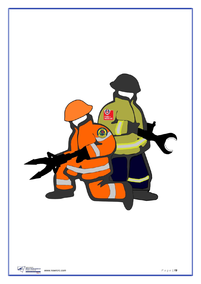



www.nswrcrc.com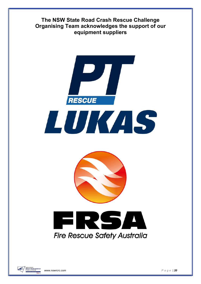



www.nswrcrc.com  $P a g e$  | 20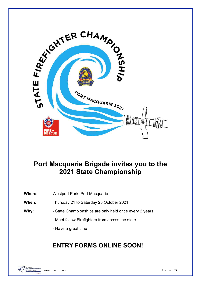

## Port Macquarie Brigade invites you to the 2021 State Championship

- Where: Westport Park, Port Macquarie
- When: Thursday 21 to Saturday 23 October 2021
- Why: Fig. 3. State Championships are only held once every 2 years
	- Meet fellow Firefighters from across the state
	- Have a great time

## ENTRY FORMS ONLINE SOON!

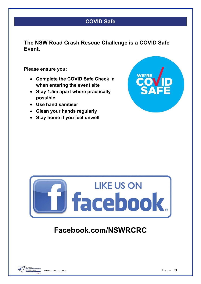## COVID Safe

The NSW Road Crash Rescue Challenge is a COVID Safe Event.

Please ensure you:

- Complete the COVID Safe Check in when entering the event site
- Stay 1.5m apart where practically possible
- Use hand sanitiser
- Clean your hands regularly
- Stay home if you feel unwell





## Facebook.com/NSWRCRC

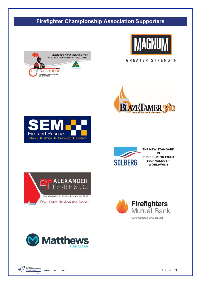## **Firefighter Championship Association Supporters**





#### **GREATER STRENGTH**







THE NEW STANDARD IN **FIREFIGHTING FOAM** TECHNOLOGY-**WORLDWIDE** 









www.nswrcrc.com